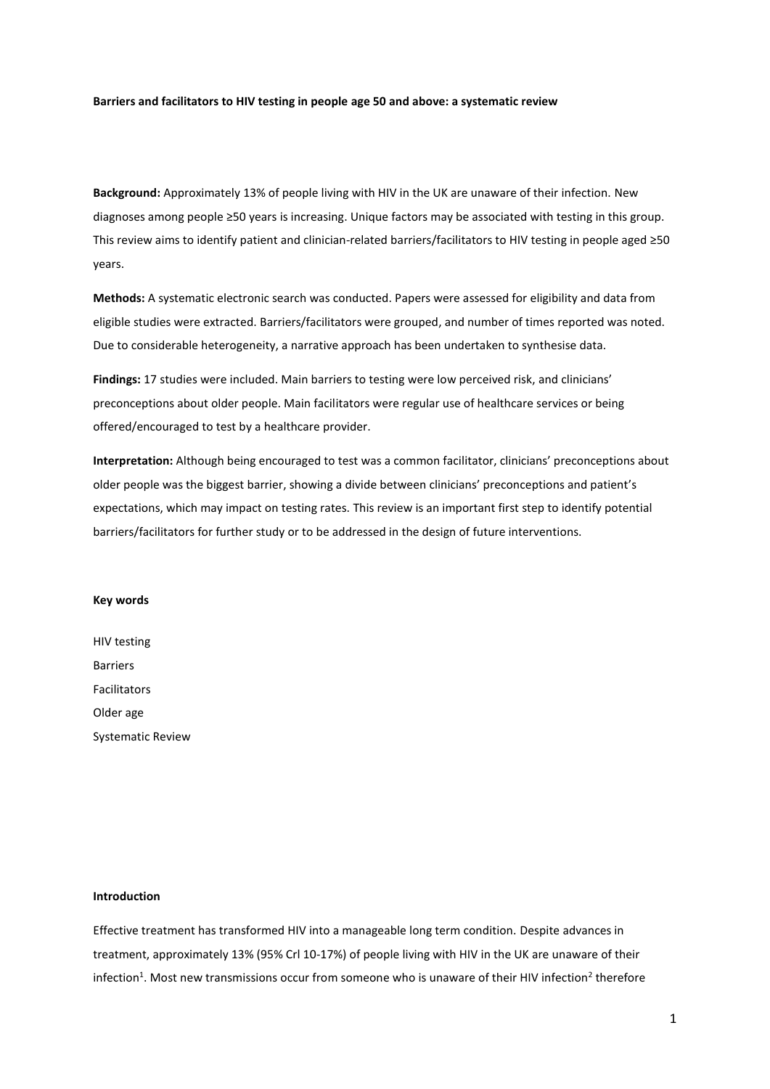#### **Barriers and facilitators to HIV testing in people age 50 and above: a systematic review**

**Background:** Approximately 13% of people living with HIV in the UK are unaware of their infection. New diagnoses among people ≥50 years is increasing. Unique factors may be associated with testing in this group. This review aims to identify patient and clinician-related barriers/facilitators to HIV testing in people aged ≥50 years.

**Methods:** A systematic electronic search was conducted. Papers were assessed for eligibility and data from eligible studies were extracted. Barriers/facilitators were grouped, and number of times reported was noted. Due to considerable heterogeneity, a narrative approach has been undertaken to synthesise data.

**Findings:** 17 studies were included. Main barriers to testing were low perceived risk, and clinicians' preconceptions about older people. Main facilitators were regular use of healthcare services or being offered/encouraged to test by a healthcare provider.

**Interpretation:** Although being encouraged to test was a common facilitator, clinicians' preconceptions about older people was the biggest barrier, showing a divide between clinicians' preconceptions and patient's expectations, which may impact on testing rates. This review is an important first step to identify potential barriers/facilitators for further study or to be addressed in the design of future interventions.

## **Key words**

HIV testing Barriers Facilitators Older age Systematic Review

## **Introduction**

Effective treatment has transformed HIV into a manageable long term condition. Despite advances in treatment, approximately 13% (95% Crl 10-17%) of people living with HIV in the UK are unaware of their infection<sup>1</sup>. Most new transmissions occur from someone who is unaware of their HIV infection<sup>2</sup> therefore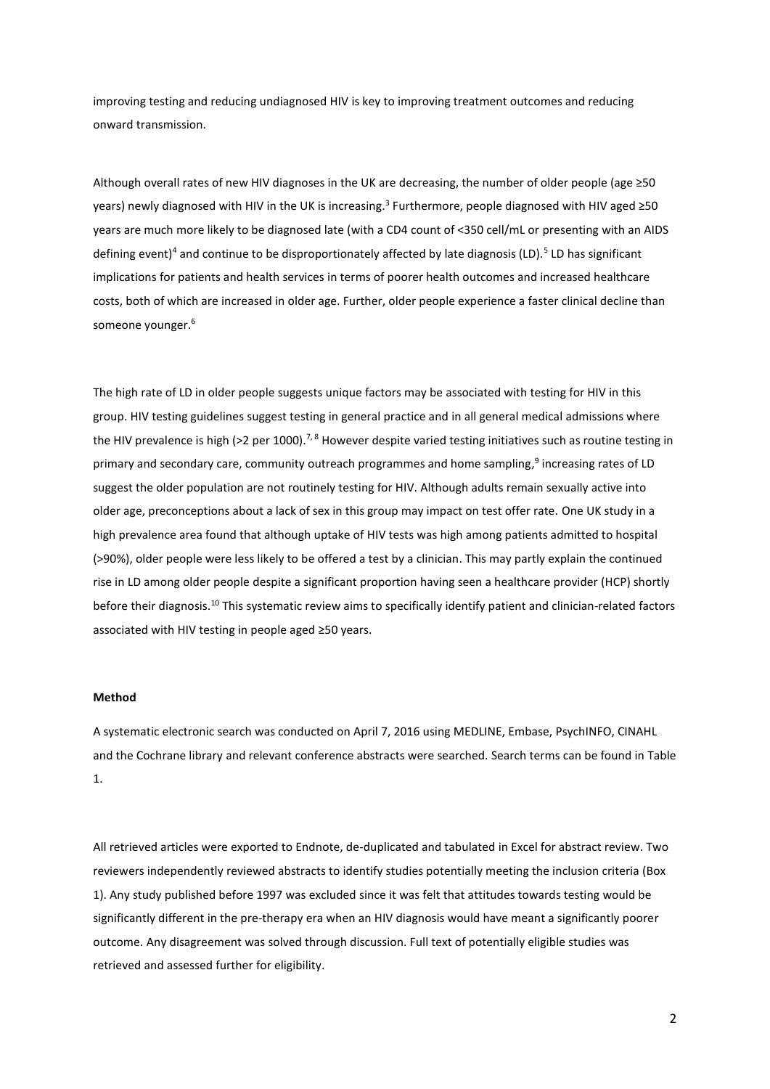improving testing and reducing undiagnosed HIV is key to improving treatment outcomes and reducing onward transmission.

Although overall rates of new HIV diagnoses in the UK are decreasing, the number of older people (age ≥50 years) newly diagnosed with HIV in the UK is increasing.<sup>3</sup> Furthermore, people diagnosed with HIV aged ≥50 years are much more likely to be diagnosed late (with a CD4 count of <350 cell/mL or presenting with an AIDS defining event)<sup>4</sup> and continue to be disproportionately affected by late diagnosis (LD).<sup>5</sup> LD has significant implications for patients and health services in terms of poorer health outcomes and increased healthcare costs, both of which are increased in older age. Further, older people experience a faster clinical decline than someone younger. 6

The high rate of LD in older people suggests unique factors may be associated with testing for HIV in this group. HIV testing guidelines suggest testing in general practice and in all general medical admissions where the HIV prevalence is high (>2 per 1000).<sup>7,8</sup> However despite varied testing initiatives such as routine testing in primary and secondary care, community outreach programmes and home sampling,<sup>9</sup> increasing rates of LD suggest the older population are not routinely testing for HIV. Although adults remain sexually active into older age, preconceptions about a lack of sex in this group may impact on test offer rate. One UK study in a high prevalence area found that although uptake of HIV tests was high among patients admitted to hospital (>90%), older people were less likely to be offered a test by a clinician. This may partly explain the continued rise in LD among older people despite a significant proportion having seen a healthcare provider (HCP) shortly before their diagnosis.<sup>10</sup> This systematic review aims to specifically identify patient and clinician-related factors associated with HIV testing in people aged ≥50 years.

### **Method**

A systematic electronic search was conducted on April 7, 2016 using MEDLINE, Embase, PsychINFO, CINAHL and the Cochrane library and relevant conference abstracts were searched. Search terms can be found in Table 1.

All retrieved articles were exported to Endnote, de-duplicated and tabulated in Excel for abstract review. Two reviewers independently reviewed abstracts to identify studies potentially meeting the inclusion criteria (Box 1). Any study published before 1997 was excluded since it was felt that attitudes towards testing would be significantly different in the pre-therapy era when an HIV diagnosis would have meant a significantly poorer outcome. Any disagreement was solved through discussion. Full text of potentially eligible studies was retrieved and assessed further for eligibility.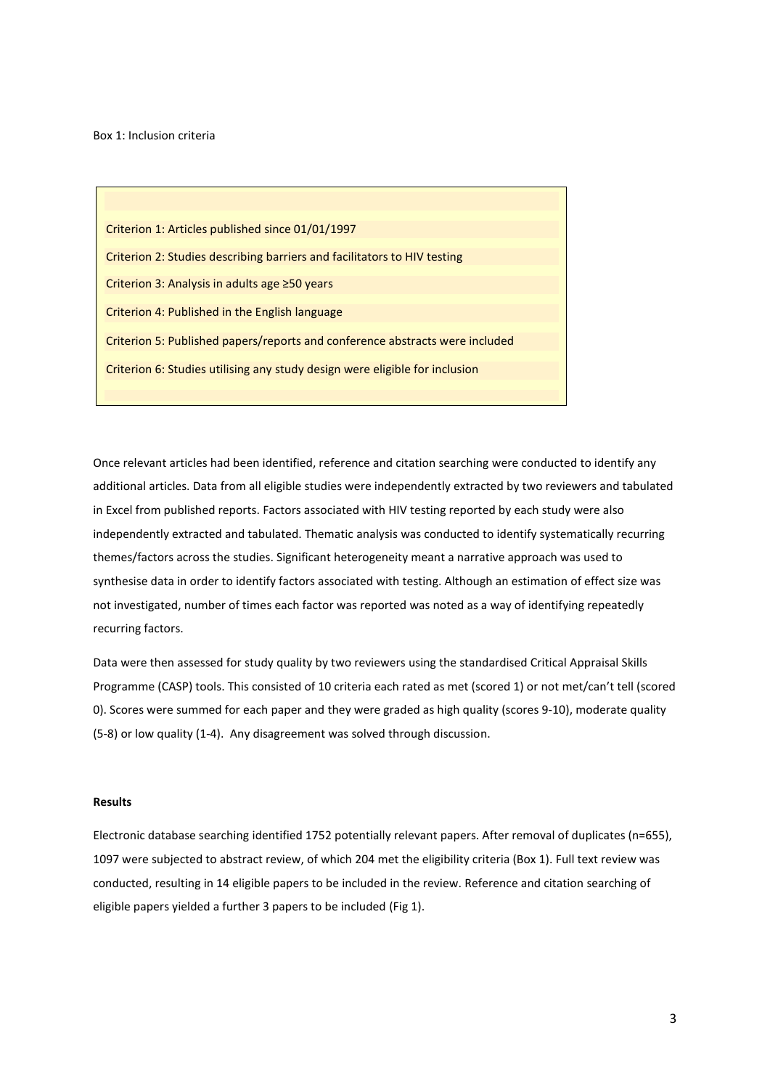Box 1: Inclusion criteria

Criterion 1: Articles published since 01/01/1997 Criterion 2: Studies describing barriers and facilitators to HIV testing Criterion 3: Analysis in adults age ≥50 years Criterion 4: Published in the English language Criterion 5: Published papers/reports and conference abstracts were included Criterion 6: Studies utilising any study design were eligible for inclusion

Once relevant articles had been identified, reference and citation searching were conducted to identify any additional articles. Data from all eligible studies were independently extracted by two reviewers and tabulated in Excel from published reports. Factors associated with HIV testing reported by each study were also independently extracted and tabulated. Thematic analysis was conducted to identify systematically recurring themes/factors across the studies. Significant heterogeneity meant a narrative approach was used to synthesise data in order to identify factors associated with testing. Although an estimation of effect size was not investigated, number of times each factor was reported was noted as a way of identifying repeatedly recurring factors.

Data were then assessed for study quality by two reviewers using the standardised Critical Appraisal Skills Programme (CASP) tools. This consisted of 10 criteria each rated as met (scored 1) or not met/can't tell (scored 0). Scores were summed for each paper and they were graded as high quality (scores 9-10), moderate quality (5-8) or low quality (1-4). Any disagreement was solved through discussion.

### **Results**

Electronic database searching identified 1752 potentially relevant papers. After removal of duplicates (n=655), 1097 were subjected to abstract review, of which 204 met the eligibility criteria (Box 1). Full text review was conducted, resulting in 14 eligible papers to be included in the review. Reference and citation searching of eligible papers yielded a further 3 papers to be included (Fig 1).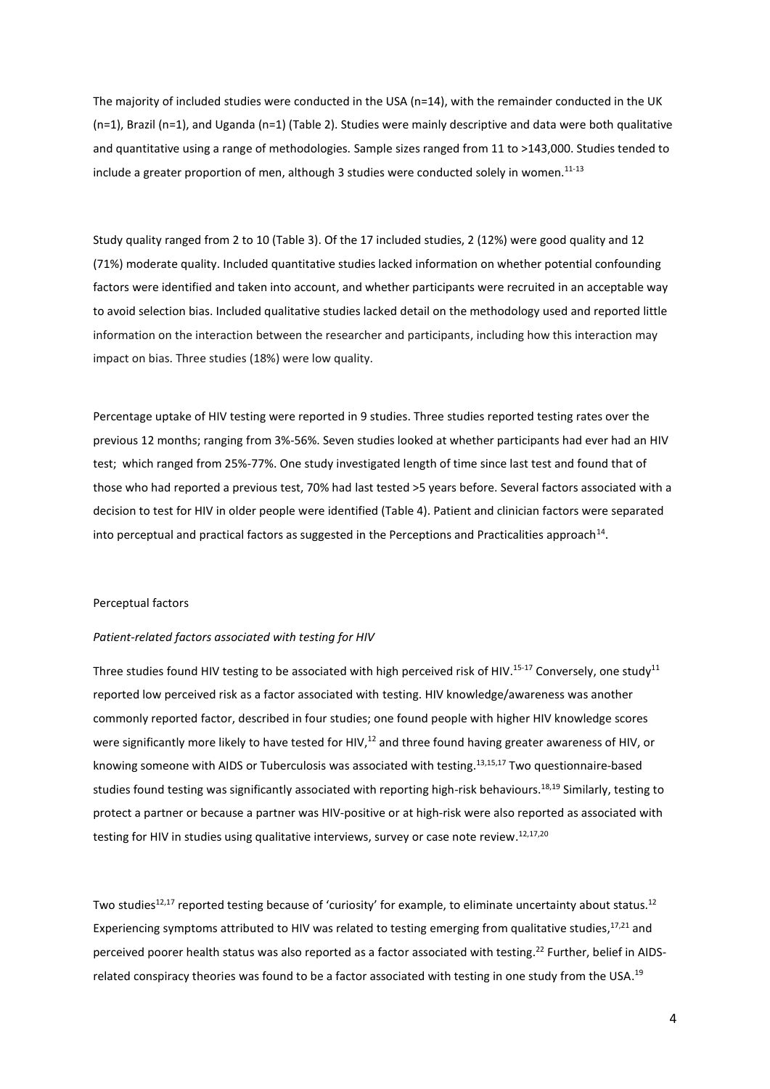The majority of included studies were conducted in the USA (n=14), with the remainder conducted in the UK (n=1), Brazil (n=1), and Uganda (n=1) (Table 2). Studies were mainly descriptive and data were both qualitative and quantitative using a range of methodologies. Sample sizes ranged from 11 to >143,000. Studies tended to include a greater proportion of men, although 3 studies were conducted solely in women.<sup>11-13</sup>

Study quality ranged from 2 to 10 (Table 3). Of the 17 included studies, 2 (12%) were good quality and 12 (71%) moderate quality. Included quantitative studies lacked information on whether potential confounding factors were identified and taken into account, and whether participants were recruited in an acceptable way to avoid selection bias. Included qualitative studies lacked detail on the methodology used and reported little information on the interaction between the researcher and participants, including how this interaction may impact on bias. Three studies (18%) were low quality.

Percentage uptake of HIV testing were reported in 9 studies. Three studies reported testing rates over the previous 12 months; ranging from 3%-56%. Seven studies looked at whether participants had ever had an HIV test; which ranged from 25%-77%. One study investigated length of time since last test and found that of those who had reported a previous test, 70% had last tested >5 years before. Several factors associated with a decision to test for HIV in older people were identified (Table 4). Patient and clinician factors were separated into perceptual and practical factors as suggested in the Perceptions and Practicalities approach<sup>14</sup>.

# Perceptual factors

#### *Patient-related factors associated with testing for HIV*

Three studies found HIV testing to be associated with high perceived risk of HIV.<sup>15-17</sup> Conversely, one study<sup>11</sup> reported low perceived risk as a factor associated with testing. HIV knowledge/awareness was another commonly reported factor, described in four studies; one found people with higher HIV knowledge scores were significantly more likely to have tested for HIV,<sup>12</sup> and three found having greater awareness of HIV, or knowing someone with AIDS or Tuberculosis was associated with testing. 13,15,17 Two questionnaire-based studies found testing was significantly associated with reporting high-risk behaviours.<sup>18,19</sup> Similarly, testing to protect a partner or because a partner was HIV-positive or at high-risk were also reported as associated with testing for HIV in studies using qualitative interviews, survey or case note review.<sup>12,17,20</sup>

Two studies<sup>12,17</sup> reported testing because of 'curiosity' for example, to eliminate uncertainty about status.<sup>12</sup> Experiencing symptoms attributed to HIV was related to testing emerging from qualitative studies,<sup>17,21</sup> and perceived poorer health status was also reported as a factor associated with testing.<sup>22</sup> Further, belief in AIDSrelated conspiracy theories was found to be a factor associated with testing in one study from the USA.<sup>19</sup>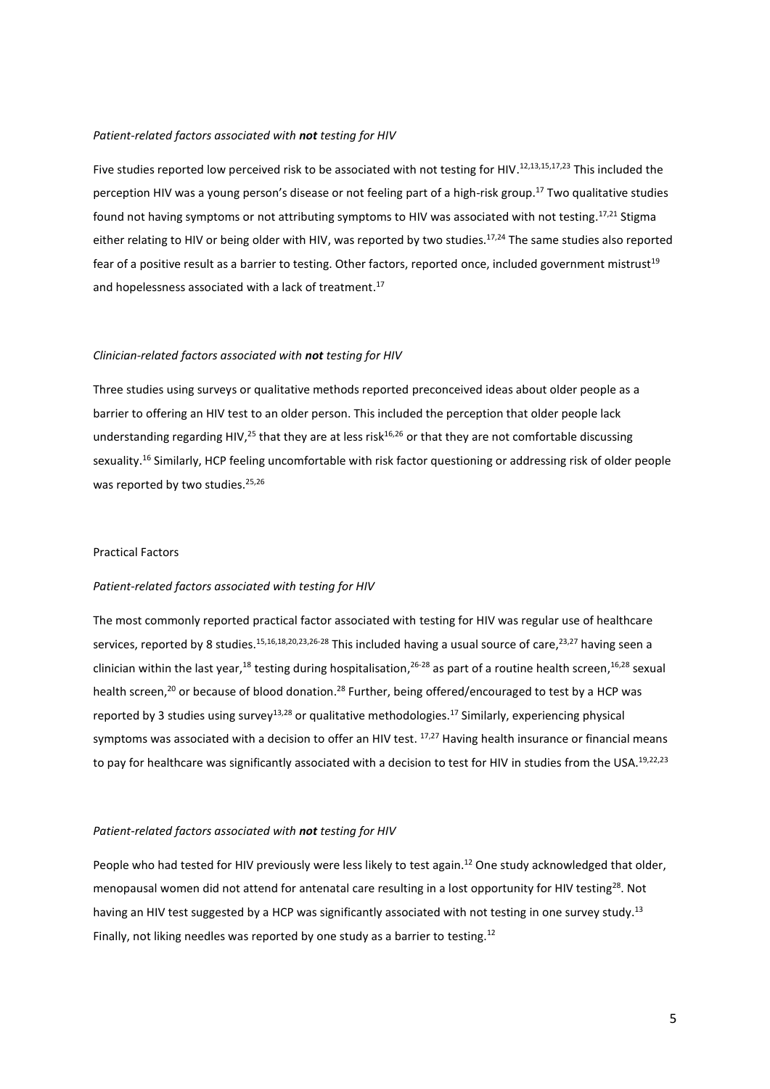## *Patient-related factors associated with not testing for HIV*

Five studies reported low perceived risk to be associated with not testing for HIV.<sup>12,13,15,17,23</sup> This included the perception HIV was a young person's disease or not feeling part of a high-risk group. <sup>17</sup> Two qualitative studies found not having symptoms or not attributing symptoms to HIV was associated with not testing.<sup>17,21</sup> Stigma either relating to HIV or being older with HIV, was reported by two studies.<sup>17,24</sup> The same studies also reported fear of a positive result as a barrier to testing. Other factors, reported once, included government mistrust<sup>19</sup> and hopelessness associated with a lack of treatment.<sup>17</sup>

### *Clinician-related factors associated with not testing for HIV*

Three studies using surveys or qualitative methods reported preconceived ideas about older people as a barrier to offering an HIV test to an older person. This included the perception that older people lack understanding regarding HIV,<sup>25</sup> that they are at less risk<sup>16,26</sup> or that they are not comfortable discussing sexuality.<sup>16</sup> Similarly, HCP feeling uncomfortable with risk factor questioning or addressing risk of older people was reported by two studies.<sup>25,26</sup>

#### Practical Factors

## *Patient-related factors associated with testing for HIV*

The most commonly reported practical factor associated with testing for HIV was regular use of healthcare services, reported by 8 studies.<sup>15,16,18,20,23,26-28</sup> This included having a usual source of care,<sup>23,27</sup> having seen a clinician within the last year,<sup>18</sup> testing during hospitalisation,<sup>26-28</sup> as part of a routine health screen,<sup>16,28</sup> sexual health screen,<sup>20</sup> or because of blood donation.<sup>28</sup> Further, being offered/encouraged to test by a HCP was reported by 3 studies using survey<sup>13,28</sup> or qualitative methodologies.<sup>17</sup> Similarly, experiencing physical symptoms was associated with a decision to offer an HIV test. <sup>17,27</sup> Having health insurance or financial means to pay for healthcare was significantly associated with a decision to test for HIV in studies from the USA.<sup>19,22,23</sup>

### *Patient-related factors associated with not testing for HIV*

People who had tested for HIV previously were less likely to test again.<sup>12</sup> One study acknowledged that older, menopausal women did not attend for antenatal care resulting in a lost opportunity for HIV testing<sup>28</sup>. Not having an HIV test suggested by a HCP was significantly associated with not testing in one survey study.<sup>13</sup> Finally, not liking needles was reported by one study as a barrier to testing.<sup>12</sup>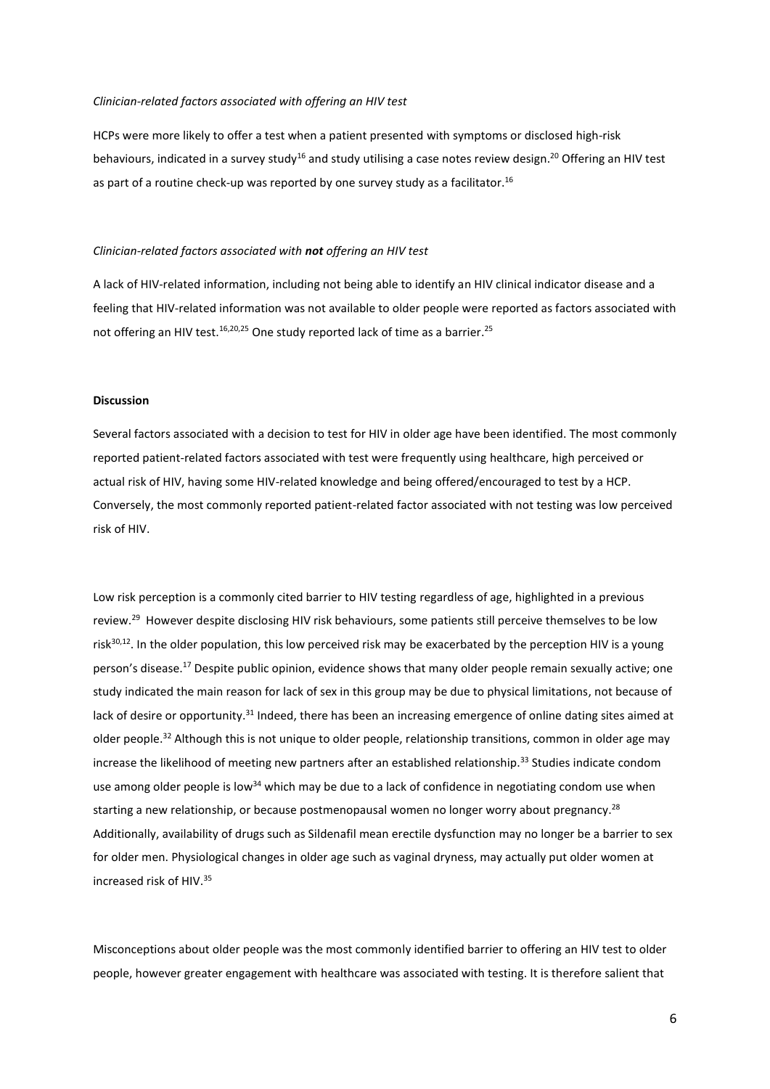#### *Clinician-related factors associated with offering an HIV test*

HCPs were more likely to offer a test when a patient presented with symptoms or disclosed high-risk behaviours, indicated in a survey study<sup>16</sup> and study utilising a case notes review design.<sup>20</sup> Offering an HIV test as part of a routine check-up was reported by one survey study as a facilitator.<sup>16</sup>

## *Clinician-related factors associated with not offering an HIV test*

A lack of HIV-related information, including not being able to identify an HIV clinical indicator disease and a feeling that HIV-related information was not available to older people were reported as factors associated with not offering an HIV test.<sup>16,20,25</sup> One study reported lack of time as a barrier.<sup>25</sup>

#### **Discussion**

Several factors associated with a decision to test for HIV in older age have been identified. The most commonly reported patient-related factors associated with test were frequently using healthcare, high perceived or actual risk of HIV, having some HIV-related knowledge and being offered/encouraged to test by a HCP. Conversely, the most commonly reported patient-related factor associated with not testing was low perceived risk of HIV.

Low risk perception is a commonly cited barrier to HIV testing regardless of age, highlighted in a previous review.<sup>29</sup> However despite disclosing HIV risk behaviours, some patients still perceive themselves to be low risk $30,12$ . In the older population, this low perceived risk may be exacerbated by the perception HIV is a young person's disease. <sup>17</sup> Despite public opinion, evidence shows that many older people remain sexually active; one study indicated the main reason for lack of sex in this group may be due to physical limitations, not because of lack of desire or opportunity.<sup>31</sup> Indeed, there has been an increasing emergence of online dating sites aimed at older people.<sup>32</sup> Although this is not unique to older people, relationship transitions, common in older age may increase the likelihood of meeting new partners after an established relationship.<sup>33</sup> Studies indicate condom use among older people is low<sup>34</sup> which may be due to a lack of confidence in negotiating condom use when starting a new relationship, or because postmenopausal women no longer worry about pregnancy.<sup>28</sup> Additionally, availability of drugs such as Sildenafil mean erectile dysfunction may no longer be a barrier to sex for older men. Physiological changes in older age such as vaginal dryness, may actually put older women at increased risk of HIV. 35

Misconceptions about older people was the most commonly identified barrier to offering an HIV test to older people, however greater engagement with healthcare was associated with testing. It is therefore salient that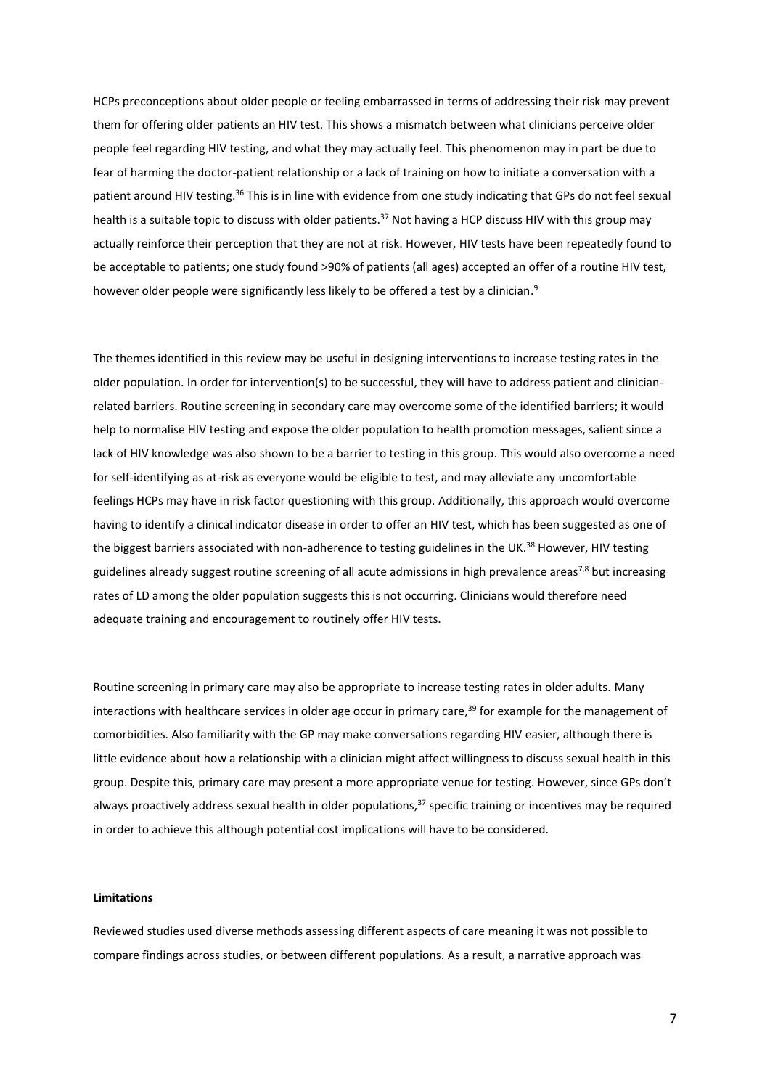HCPs preconceptions about older people or feeling embarrassed in terms of addressing their risk may prevent them for offering older patients an HIV test. This shows a mismatch between what clinicians perceive older people feel regarding HIV testing, and what they may actually feel. This phenomenon may in part be due to fear of harming the doctor-patient relationship or a lack of training on how to initiate a conversation with a patient around HIV testing.<sup>36</sup> This is in line with evidence from one study indicating that GPs do not feel sexual health is a suitable topic to discuss with older patients.<sup>37</sup> Not having a HCP discuss HIV with this group may actually reinforce their perception that they are not at risk. However, HIV tests have been repeatedly found to be acceptable to patients; one study found >90% of patients (all ages) accepted an offer of a routine HIV test, however older people were significantly less likely to be offered a test by a clinician.<sup>9</sup>

The themes identified in this review may be useful in designing interventions to increase testing rates in the older population. In order for intervention(s) to be successful, they will have to address patient and clinicianrelated barriers. Routine screening in secondary care may overcome some of the identified barriers; it would help to normalise HIV testing and expose the older population to health promotion messages, salient since a lack of HIV knowledge was also shown to be a barrier to testing in this group. This would also overcome a need for self-identifying as at-risk as everyone would be eligible to test, and may alleviate any uncomfortable feelings HCPs may have in risk factor questioning with this group. Additionally, this approach would overcome having to identify a clinical indicator disease in order to offer an HIV test, which has been suggested as one of the biggest barriers associated with non-adherence to testing guidelines in the UK.<sup>38</sup> However, HIV testing guidelines already suggest routine screening of all acute admissions in high prevalence areas<sup>7,8</sup> but increasing rates of LD among the older population suggests this is not occurring. Clinicians would therefore need adequate training and encouragement to routinely offer HIV tests.

Routine screening in primary care may also be appropriate to increase testing rates in older adults. Many interactions with healthcare services in older age occur in primary care, <sup>39</sup> for example for the management of comorbidities. Also familiarity with the GP may make conversations regarding HIV easier, although there is little evidence about how a relationship with a clinician might affect willingness to discuss sexual health in this group. Despite this, primary care may present a more appropriate venue for testing. However, since GPs don't always proactively address sexual health in older populations,<sup>37</sup> specific training or incentives may be required in order to achieve this although potential cost implications will have to be considered.

## **Limitations**

Reviewed studies used diverse methods assessing different aspects of care meaning it was not possible to compare findings across studies, or between different populations. As a result, a narrative approach was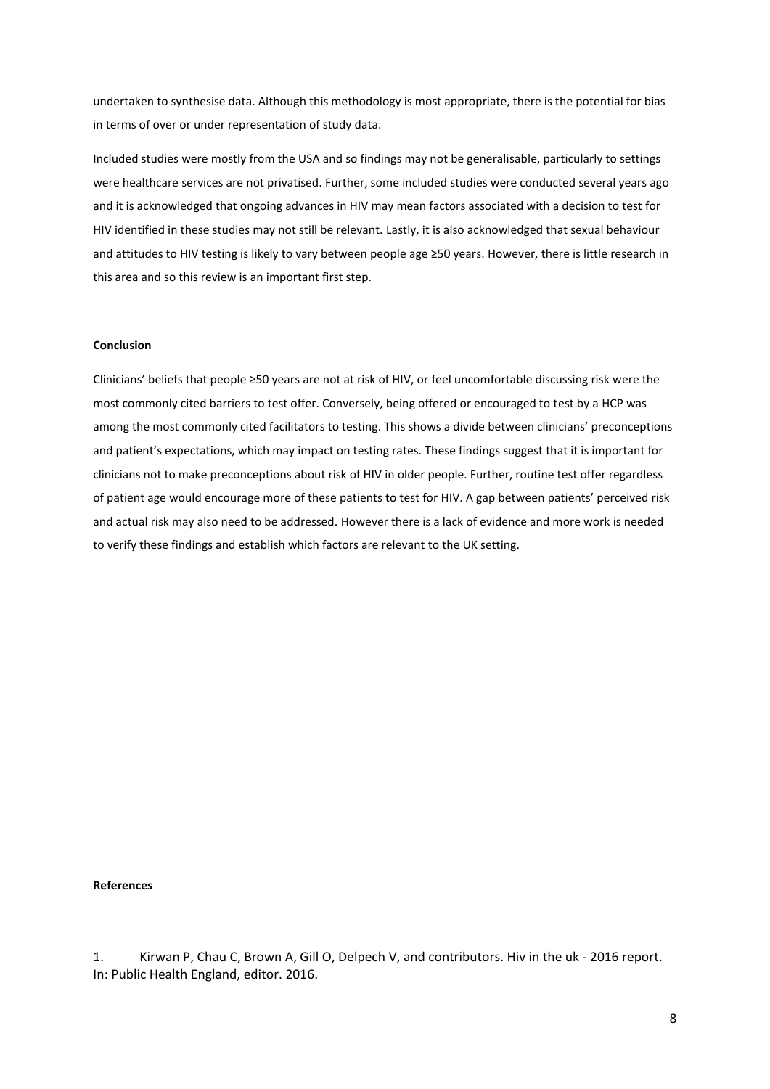undertaken to synthesise data. Although this methodology is most appropriate, there is the potential for bias in terms of over or under representation of study data.

Included studies were mostly from the USA and so findings may not be generalisable, particularly to settings were healthcare services are not privatised. Further, some included studies were conducted several years ago and it is acknowledged that ongoing advances in HIV may mean factors associated with a decision to test for HIV identified in these studies may not still be relevant. Lastly, it is also acknowledged that sexual behaviour and attitudes to HIV testing is likely to vary between people age ≥50 years. However, there is little research in this area and so this review is an important first step.

## **Conclusion**

Clinicians' beliefs that people ≥50 years are not at risk of HIV, or feel uncomfortable discussing risk were the most commonly cited barriers to test offer. Conversely, being offered or encouraged to test by a HCP was among the most commonly cited facilitators to testing. This shows a divide between clinicians' preconceptions and patient's expectations, which may impact on testing rates. These findings suggest that it is important for clinicians not to make preconceptions about risk of HIV in older people. Further, routine test offer regardless of patient age would encourage more of these patients to test for HIV. A gap between patients' perceived risk and actual risk may also need to be addressed. However there is a lack of evidence and more work is needed to verify these findings and establish which factors are relevant to the UK setting.

# **References**

1. Kirwan P, Chau C, Brown A, Gill O, Delpech V, and contributors. Hiv in the uk - 2016 report. In: Public Health England, editor. 2016.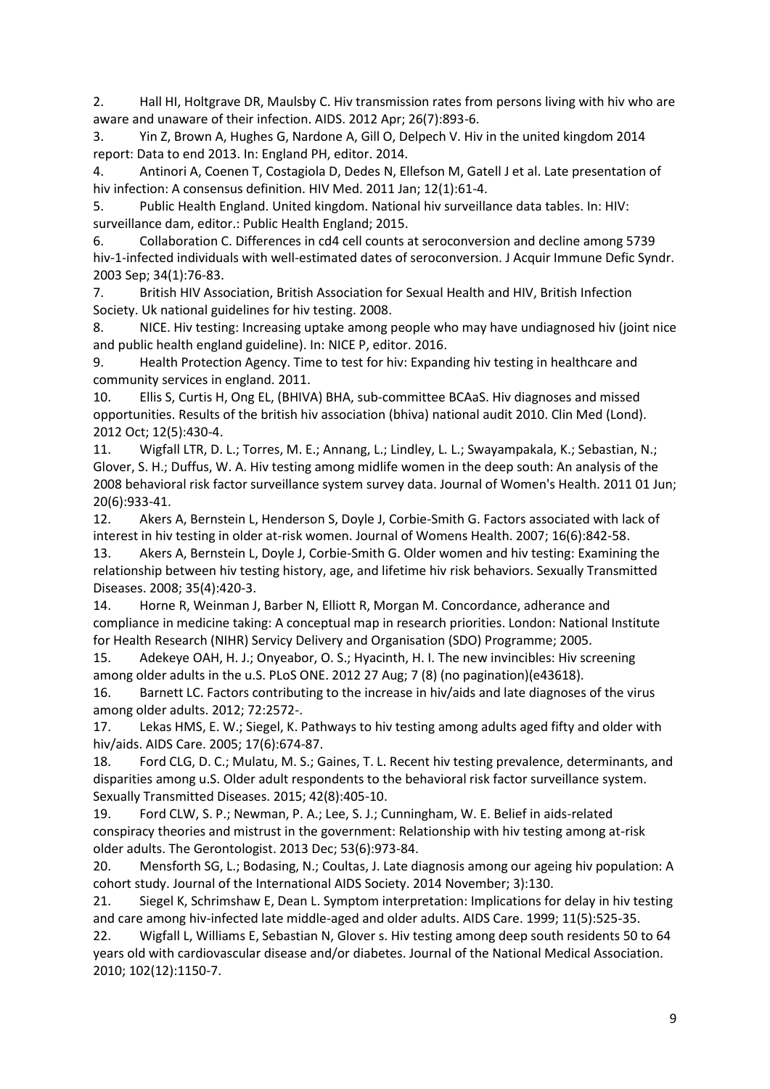2. Hall HI, Holtgrave DR, Maulsby C. Hiv transmission rates from persons living with hiv who are aware and unaware of their infection. AIDS. 2012 Apr; 26(7):893-6.

3. Yin Z, Brown A, Hughes G, Nardone A, Gill O, Delpech V. Hiv in the united kingdom 2014 report: Data to end 2013. In: England PH, editor. 2014.

4. Antinori A, Coenen T, Costagiola D, Dedes N, Ellefson M, Gatell J et al. Late presentation of hiv infection: A consensus definition. HIV Med. 2011 Jan; 12(1):61-4.

5. Public Health England. United kingdom. National hiv surveillance data tables. In: HIV: surveillance dam, editor.: Public Health England; 2015.

6. Collaboration C. Differences in cd4 cell counts at seroconversion and decline among 5739 hiv-1-infected individuals with well-estimated dates of seroconversion. J Acquir Immune Defic Syndr. 2003 Sep; 34(1):76-83.

7. British HIV Association, British Association for Sexual Health and HIV, British Infection Society. Uk national guidelines for hiv testing. 2008.

8. NICE. Hiv testing: Increasing uptake among people who may have undiagnosed hiv (joint nice and public health england guideline). In: NICE P, editor. 2016.

9. Health Protection Agency. Time to test for hiv: Expanding hiv testing in healthcare and community services in england. 2011.

10. Ellis S, Curtis H, Ong EL, (BHIVA) BHA, sub-committee BCAaS. Hiv diagnoses and missed opportunities. Results of the british hiv association (bhiva) national audit 2010. Clin Med (Lond). 2012 Oct; 12(5):430-4.

11. Wigfall LTR, D. L.; Torres, M. E.; Annang, L.; Lindley, L. L.; Swayampakala, K.; Sebastian, N.; Glover, S. H.; Duffus, W. A. Hiv testing among midlife women in the deep south: An analysis of the 2008 behavioral risk factor surveillance system survey data. Journal of Women's Health. 2011 01 Jun; 20(6):933-41.

12. Akers A, Bernstein L, Henderson S, Doyle J, Corbie-Smith G. Factors associated with lack of interest in hiv testing in older at-risk women. Journal of Womens Health. 2007; 16(6):842-58.

13. Akers A, Bernstein L, Doyle J, Corbie-Smith G. Older women and hiv testing: Examining the relationship between hiv testing history, age, and lifetime hiv risk behaviors. Sexually Transmitted Diseases. 2008; 35(4):420-3.

14. Horne R, Weinman J, Barber N, Elliott R, Morgan M. Concordance, adherance and compliance in medicine taking: A conceptual map in research priorities. London: National Institute for Health Research (NIHR) Servicy Delivery and Organisation (SDO) Programme; 2005.

15. Adekeye OAH, H. J.; Onyeabor, O. S.; Hyacinth, H. I. The new invincibles: Hiv screening among older adults in the u.S. PLoS ONE. 2012 27 Aug; 7 (8) (no pagination)(e43618).

16. Barnett LC. Factors contributing to the increase in hiv/aids and late diagnoses of the virus among older adults. 2012; 72:2572-.

17. Lekas HMS, E. W.; Siegel, K. Pathways to hiv testing among adults aged fifty and older with hiv/aids. AIDS Care. 2005; 17(6):674-87.

18. Ford CLG, D. C.; Mulatu, M. S.; Gaines, T. L. Recent hiv testing prevalence, determinants, and disparities among u.S. Older adult respondents to the behavioral risk factor surveillance system. Sexually Transmitted Diseases. 2015; 42(8):405-10.

19. Ford CLW, S. P.; Newman, P. A.; Lee, S. J.; Cunningham, W. E. Belief in aids-related conspiracy theories and mistrust in the government: Relationship with hiv testing among at-risk older adults. The Gerontologist. 2013 Dec; 53(6):973-84.

20. Mensforth SG, L.; Bodasing, N.; Coultas, J. Late diagnosis among our ageing hiv population: A cohort study. Journal of the International AIDS Society. 2014 November; 3):130.

21. Siegel K, Schrimshaw E, Dean L. Symptom interpretation: Implications for delay in hiv testing and care among hiv-infected late middle-aged and older adults. AIDS Care. 1999; 11(5):525-35.

22. Wigfall L, Williams E, Sebastian N, Glover s. Hiv testing among deep south residents 50 to 64 years old with cardiovascular disease and/or diabetes. Journal of the National Medical Association. 2010; 102(12):1150-7.